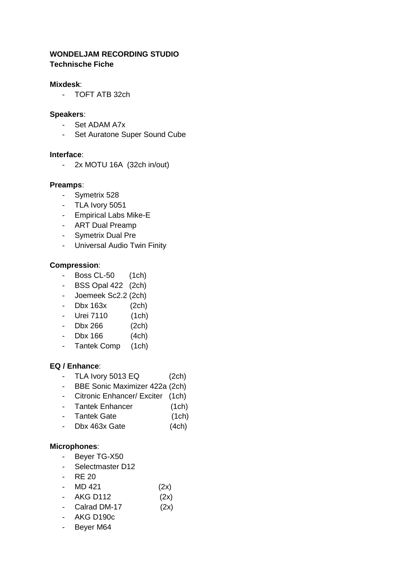## **WONDELJAM RECORDING STUDIO Technische Fiche**

### **Mixdesk**:

- TOFT ATB 32ch

#### **Speakers**:

- Set ADAM A7x
- Set Auratone Super Sound Cube

#### **Interface**:

- 2x MOTU 16A (32ch in/out)

#### **Preamps**:

- Symetrix 528
- TLA Ivory 5051
- Empirical Labs Mike-E
- ART Dual Preamp
- Symetrix Dual Pre
- Universal Audio Twin Finity

#### **Compression**:

- Boss CL-50 (1ch)
- BSS Opal 422 (2ch)
- Joemeek Sc2.2 (2ch)
- Dbx 163x (2ch)
- Urei 7110 (1ch)
- Dbx 266 (2ch)
- Dbx 166 (4ch)
- Tantek Comp (1ch)

#### **EQ / Enhance**:

- TLA Ivory 5013 EQ (2ch)
- BBE Sonic Maximizer 422a (2ch)
- Citronic Enhancer/ Exciter (1ch)
- Tantek Enhancer (1ch)
- Tantek Gate (1ch)
- Dbx 463x Gate (4ch)

### **Microphones**:

- Beyer TG-X50
- Selectmaster D12
- RE 20
- MD 421 (2x)
- AKG D112 (2x)
- Calrad DM-17 (2x)
- AKG D190c
- Beyer M64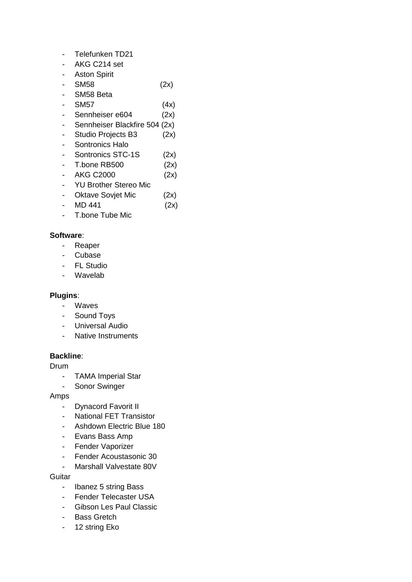- Telefunken TD21
- AKG C214 set
- Aston Spirit
- SM58 (2x)
- SM58 Beta
- SM57 (4x)
- Sennheiser e604 (2x)
- Sennheiser Blackfire 504 (2x)
- Studio Projects B3 (2x)
- Sontronics Halo
- Sontronics STC-1S (2x)
- T.bone RB500 (2x)
- AKG C2000 (2x)
- YU Brother Stereo Mic
- Oktave Sovjet Mic (2x)
- MD 441 (2x)
- T.bone Tube Mic

## **Software**:

- Reaper
- Cubase
- FL Studio
- Wavelab

## **Plugins**:

- Waves
- Sound Toys
- Universal Audio
- Native Instruments

## **Backline**:

Drum

- TAMA Imperial Star
- Sonor Swinger

### Amps

- Dynacord Favorit II
- National FET Transistor
- Ashdown Electric Blue 180
- Evans Bass Amp
- Fender Vaporizer
- Fender Acoustasonic 30
- Marshall Valvestate 80V

**Guitar** 

- Ibanez 5 string Bass
- Fender Telecaster USA
- Gibson Les Paul Classic
- Bass Gretch
- 12 string Eko